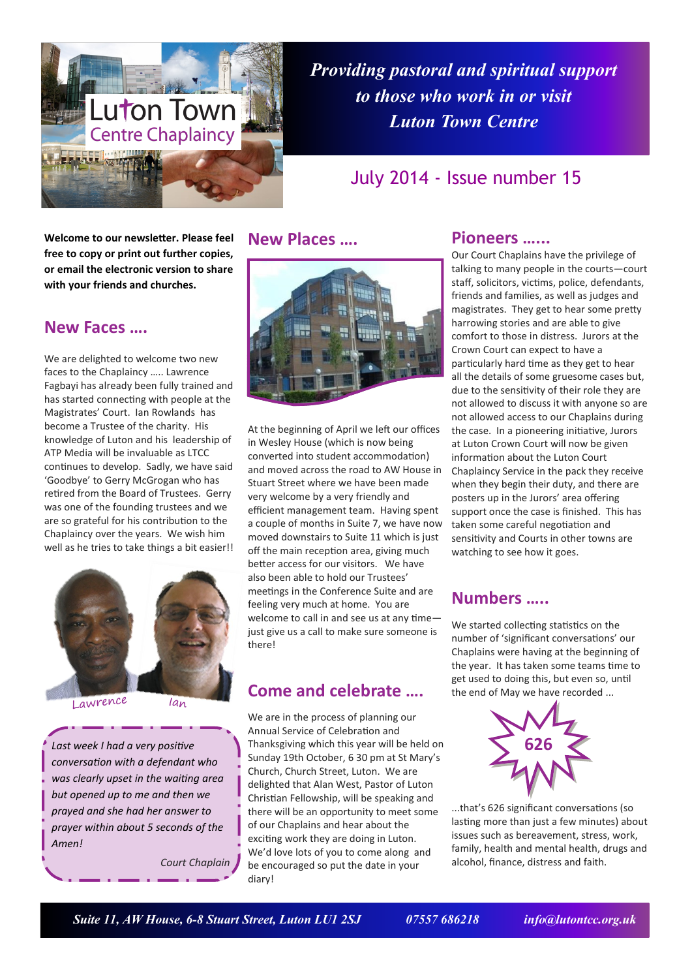

*Providing pastoral and spiritual support to those who work in or visit Luton Town Centre*

# July 2014 - Issue number 15

**Welcome to our newsletter. Please feel free to copy or print out further copies, or email the electronic version to share with your friends and churches.**

### **New Faces ….**

We are delighted to welcome two new faces to the Chaplaincy ….. Lawrence Fagbayi has already been fully trained and has started connecting with people at the Magistrates' Court. Ian Rowlands has become a Trustee of the charity. His knowledge of Luton and his leadership of ATP Media will be invaluable as LTCC continues to develop. Sadly, we have said 'Goodbye' to Gerry McGrogan who has retired from the Board of Trustees. Gerry was one of the founding trustees and we are so grateful for his contribution to the Chaplaincy over the years. We wish him well as he tries to take things a bit easier!!



Lawrence

Ian

*Last week I had a very positive conversation with a defendant who was clearly upset in the waiting area but opened up to me and then we prayed and she had her answer to prayer within about 5 seconds of the Amen!* 

*Court Chaplain*

### **New Places ….**



At the beginning of April we left our offices in Wesley House (which is now being converted into student accommodation) and moved across the road to AW House in Stuart Street where we have been made very welcome by a very friendly and efficient management team. Having spent a couple of months in Suite 7, we have now moved downstairs to Suite 11 which is just off the main reception area, giving much better access for our visitors. We have also been able to hold our Trustees' meetings in the Conference Suite and are feeling very much at home. You are welcome to call in and see us at any time just give us a call to make sure someone is there!

## **Come and celebrate ….**

We are in the process of planning our Annual Service of Celebration and Thanksgiving which this year will be held on Sunday 19th October, 6 30 pm at St Mary's Church, Church Street, Luton. We are delighted that Alan West, Pastor of Luton Christian Fellowship, will be speaking and there will be an opportunity to meet some of our Chaplains and hear about the exciting work they are doing in Luton. We'd love lots of you to come along and be encouraged so put the date in your diary!

### **Pioneers …...**

Our Court Chaplains have the privilege of talking to many people in the courts—court staff, solicitors, victims, police, defendants, friends and families, as well as judges and magistrates. They get to hear some pretty harrowing stories and are able to give comfort to those in distress. Jurors at the Crown Court can expect to have a particularly hard time as they get to hear all the details of some gruesome cases but, due to the sensitivity of their role they are not allowed to discuss it with anyone so are not allowed access to our Chaplains during the case. In a pioneering initiative, Jurors at Luton Crown Court will now be given information about the Luton Court Chaplaincy Service in the pack they receive when they begin their duty, and there are posters up in the Jurors' area offering support once the case is finished. This has taken some careful negotiation and sensitivity and Courts in other towns are watching to see how it goes.

## **Numbers …..**

We started collecting statistics on the number of 'significant conversations' our Chaplains were having at the beginning of the year. It has taken some teams time to get used to doing this, but even so, until the end of May we have recorded ...



...that's 626 significant conversations (so lasting more than just a few minutes) about issues such as bereavement, stress, work, family, health and mental health, drugs and alcohol, finance, distress and faith.